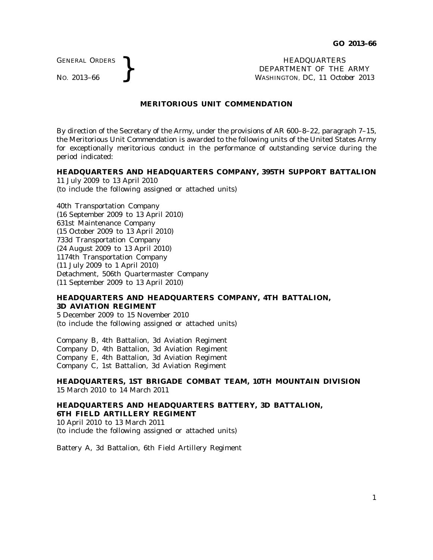GENERAL ORDERS

GENERAL ORDERS **REAL ORDERS REAL ORDERS REAL ORDERS REAL ORDER INC.** 2013–66 **REAL ORDER INC.** 2013–66 **REAL ORDER INC.** 2013–66 **REAL ORDER INC.** 2013–66 **REAL ORDER INC.** 2013–66 **REAL ORDER INC.** 2013–66 **REAL ORD** DEPARTMENT OF THE ARMY WASHINGTON, DC, *11 October 2013*

## **MERITORIOUS UNIT COMMENDATION**

By direction of the Secretary of the Army, under the provisions of AR 600–8–22, paragraph 7–15, the Meritorious Unit Commendation is awarded to the following units of the United States Army for exceptionally meritorious conduct in the performance of outstanding service during the period indicated:

#### **HEADQUARTERS AND HEADQUARTERS COMPANY, 395TH SUPPORT BATTALION**

11 July 2009 to 13 April 2010 (to include the following assigned or attached units)

40th Transportation Company (16 September 2009 to 13 April 2010) 631st Maintenance Company (15 October 2009 to 13 April 2010) 733d Transportation Company (24 August 2009 to 13 April 2010) 1174th Transportation Company (11 July 2009 to 1 April 2010) Detachment, 506th Quartermaster Company (11 September 2009 to 13 April 2010)

## **HEADQUARTERS AND HEADQUARTERS COMPANY, 4TH BATTALION, 3D AVIATION REGIMENT**

5 December 2009 to 15 November 2010 (to include the following assigned or attached units)

Company B, 4th Battalion, 3d Aviation Regiment Company D, 4th Battalion, 3d Aviation Regiment Company E, 4th Battalion, 3d Aviation Regiment Company C, 1st Battalion, 3d Aviation Regiment

**HEADQUARTERS, 1ST BRIGADE COMBAT TEAM, 10TH MOUNTAIN DIVISION** 15 March 2010 to 14 March 2011

**HEADQUARTERS AND HEADQUARTERS BATTERY, 3D BATTALION, 6TH FIELD ARTILLERY REGIMENT** 10 April 2010 to 13 March 2011

(to include the following assigned or attached units)

Battery A, 3d Battalion, 6th Field Artillery Regiment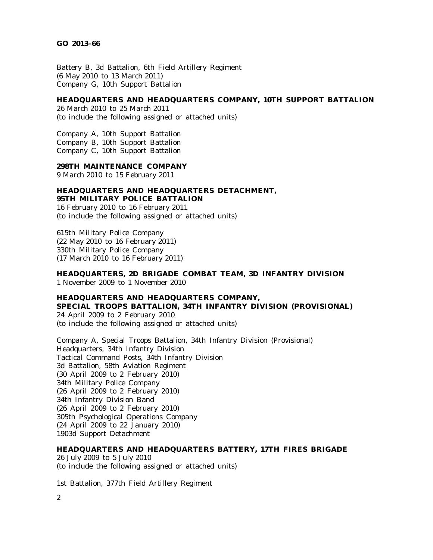Battery B, 3d Battalion, 6th Field Artillery Regiment (6 May 2010 to 13 March 2011) Company G, 10th Support Battalion

#### **HEADQUARTERS AND HEADQUARTERS COMPANY, 10TH SUPPORT BATTALION**

26 March 2010 to 25 March 2011 (to include the following assigned or attached units)

Company A, 10th Support Battalion Company B, 10th Support Battalion Company C, 10th Support Battalion

## **298TH MAINTENANCE COMPANY**

9 March 2010 to 15 February 2011

## **HEADQUARTERS AND HEADQUARTERS DETACHMENT, 95TH MILITARY POLICE BATTALION**

16 February 2010 to 16 February 2011 (to include the following assigned or attached units)

615th Military Police Company (22 May 2010 to 16 February 2011) 330th Military Police Company (17 March 2010 to 16 February 2011)

**HEADQUARTERS, 2D BRIGADE COMBAT TEAM, 3D INFANTRY DIVISION** 1 November 2009 to 1 November 2010

#### **HEADQUARTERS AND HEADQUARTERS COMPANY, SPECIAL TROOPS BATTALION, 34TH INFANTRY DIVISION (PROVISIONAL)**

24 April 2009 to 2 February 2010 (to include the following assigned or attached units)

Company A, Special Troops Battalion, 34th Infantry Division (Provisional) Headquarters, 34th Infantry Division Tactical Command Posts, 34th Infantry Division 3d Battalion, 58th Aviation Regiment (30 April 2009 to 2 February 2010) 34th Military Police Company (26 April 2009 to 2 February 2010) 34th Infantry Division Band (26 April 2009 to 2 February 2010) 305th Psychological Operations Company (24 April 2009 to 22 January 2010) 1903d Support Detachment

#### **HEADQUARTERS AND HEADQUARTERS BATTERY, 17TH FIRES BRIGADE**

26 July 2009 to 5 July 2010 (to include the following assigned or attached units)

1st Battalion, 377th Field Artillery Regiment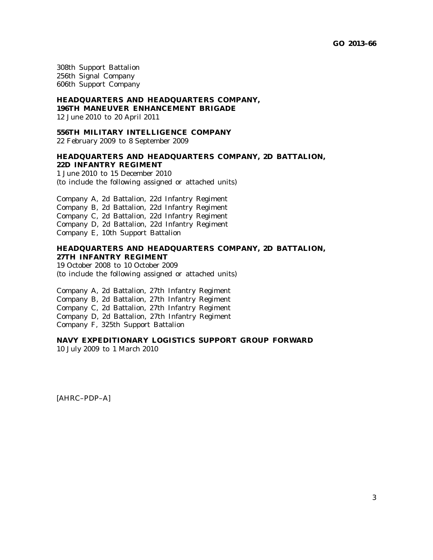308th Support Battalion 256th Signal Company 606th Support Company

# **HEADQUARTERS AND HEADQUARTERS COMPANY, 196TH MANEUVER ENHANCEMENT BRIGADE**

12 June 2010 to 20 April 2011

#### **556TH MILITARY INTELLIGENCE COMPANY**

22 February 2009 to 8 September 2009

## **HEADQUARTERS AND HEADQUARTERS COMPANY, 2D BATTALION, 22D INFANTRY REGIMENT**

1 June 2010 to 15 December 2010 (to include the following assigned or attached units)

Company A, 2d Battalion, 22d Infantry Regiment Company B, 2d Battalion, 22d Infantry Regiment Company C, 2d Battalion, 22d Infantry Regiment Company D, 2d Battalion, 22d Infantry Regiment Company E, 10th Support Battalion

## **HEADQUARTERS AND HEADQUARTERS COMPANY, 2D BATTALION, 27TH INFANTRY REGIMENT**

19 October 2008 to 10 October 2009 (to include the following assigned or attached units)

Company A, 2d Battalion, 27th Infantry Regiment Company B, 2d Battalion, 27th Infantry Regiment Company C, 2d Battalion, 27th Infantry Regiment Company D, 2d Battalion, 27th Infantry Regiment Company F, 325th Support Battalion

## **NAVY EXPEDITIONARY LOGISTICS SUPPORT GROUP FORWARD**

10 July 2009 to 1 March 2010

[AHRC–PDP–A]